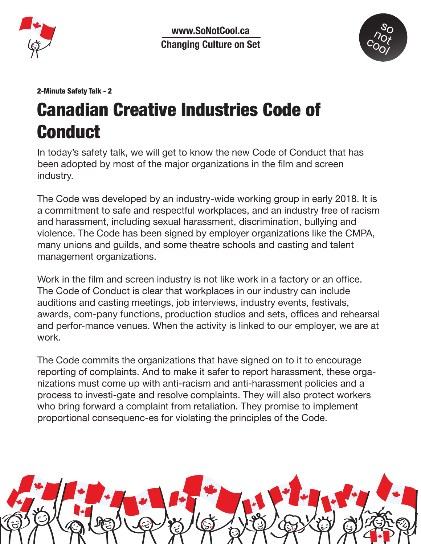

www.SoNotCool.ca **Changing Culture on Set**



## 2-Minute Safety Talk - 2

## Canadian Creative Industries Code of Conduct

In today's safety talk, we will get to know the new Code of Conduct that has been adopted by most of the major organizations in the film and screen industry.

The Code was developed by an industry-wide working group in early 2018. It is a commitment to safe and respectful workplaces, and an industry free of racism and harassment, including sexual harassment, discrimination, bullying and violence. The Code has been signed by employer organizations like the CMPA, many unions and guilds, and some theatre schools and casting and talent management organizations.

Work in the film and screen industry is not like work in a factory or an office. The Code of Conduct is clear that workplaces in our industry can include auditions and casting meetings, job interviews, industry events, festivals, awards, com-pany functions, production studios and sets, offices and rehearsal and perfor-mance venues. When the activity is linked to our employer, we are at work.

The Code commits the organizations that have signed on to it to encourage reporting of complaints. And to make it safer to report harassment, these organizations must come up with anti-racism and anti-harassment policies and a process to investi-gate and resolve complaints. They will also protect workers who bring forward a complaint from retaliation. They promise to implement proportional consequenc-es for violating the principles of the Code.